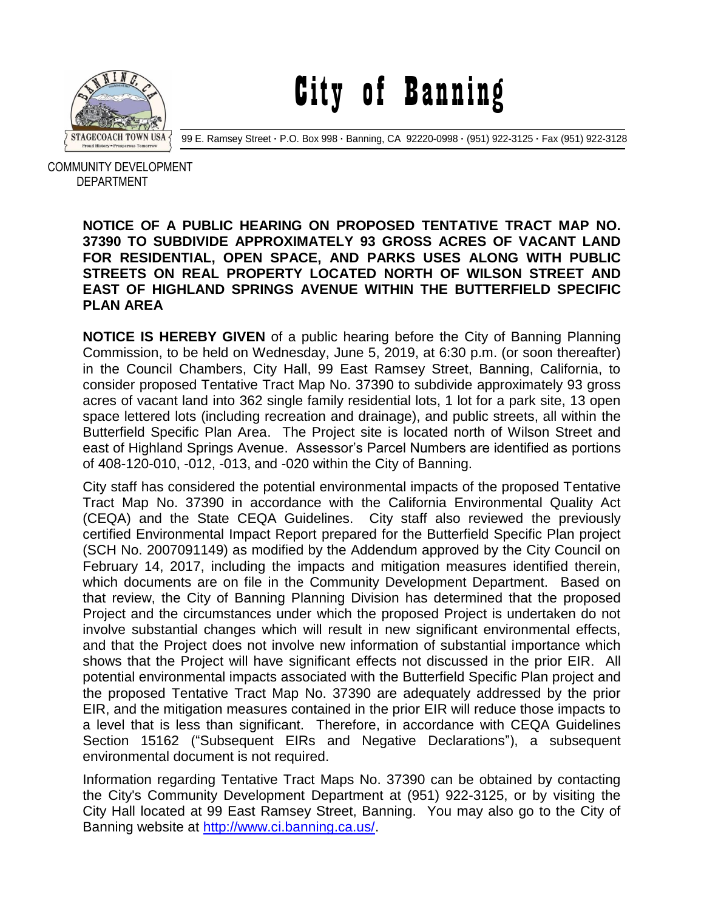

City of Banning

99 E. Ramsey Street **·** P.O. Box 998 **·** Banning, CA 92220-0998 **·** (951) 922-3125 **·** Fax (951) 922-3128

 COMMUNITY DEVELOPMENT DEPARTMENT

## **NOTICE OF A PUBLIC HEARING ON PROPOSED TENTATIVE TRACT MAP NO. 37390 TO SUBDIVIDE APPROXIMATELY 93 GROSS ACRES OF VACANT LAND FOR RESIDENTIAL, OPEN SPACE, AND PARKS USES ALONG WITH PUBLIC STREETS ON REAL PROPERTY LOCATED NORTH OF WILSON STREET AND EAST OF HIGHLAND SPRINGS AVENUE WITHIN THE BUTTERFIELD SPECIFIC PLAN AREA**

**NOTICE IS HEREBY GIVEN** of a public hearing before the City of Banning Planning Commission, to be held on Wednesday, June 5, 2019, at 6:30 p.m. (or soon thereafter) in the Council Chambers, City Hall, 99 East Ramsey Street, Banning, California, to consider proposed Tentative Tract Map No. 37390 to subdivide approximately 93 gross acres of vacant land into 362 single family residential lots, 1 lot for a park site, 13 open space lettered lots (including recreation and drainage), and public streets, all within the Butterfield Specific Plan Area. The Project site is located north of Wilson Street and east of Highland Springs Avenue. Assessor's Parcel Numbers are identified as portions of 408-120-010, -012, -013, and -020 within the City of Banning.

City staff has considered the potential environmental impacts of the proposed Tentative Tract Map No. 37390 in accordance with the California Environmental Quality Act (CEQA) and the State CEQA Guidelines. City staff also reviewed the previously certified Environmental Impact Report prepared for the Butterfield Specific Plan project (SCH No. 2007091149) as modified by the Addendum approved by the City Council on February 14, 2017, including the impacts and mitigation measures identified therein, which documents are on file in the Community Development Department. Based on that review, the City of Banning Planning Division has determined that the proposed Project and the circumstances under which the proposed Project is undertaken do not involve substantial changes which will result in new significant environmental effects, and that the Project does not involve new information of substantial importance which shows that the Project will have significant effects not discussed in the prior EIR. All potential environmental impacts associated with the Butterfield Specific Plan project and the proposed Tentative Tract Map No. 37390 are adequately addressed by the prior EIR, and the mitigation measures contained in the prior EIR will reduce those impacts to a level that is less than significant. Therefore, in accordance with CEQA Guidelines Section 15162 ("Subsequent EIRs and Negative Declarations"), a subsequent environmental document is not required.

Information regarding Tentative Tract Maps No. 37390 can be obtained by contacting the City's Community Development Department at (951) 922-3125, or by visiting the City Hall located at 99 East Ramsey Street, Banning. You may also go to the City of Banning website at [http://www.ci.banning.ca.us/.](http://www.ci.banning.ca.us/)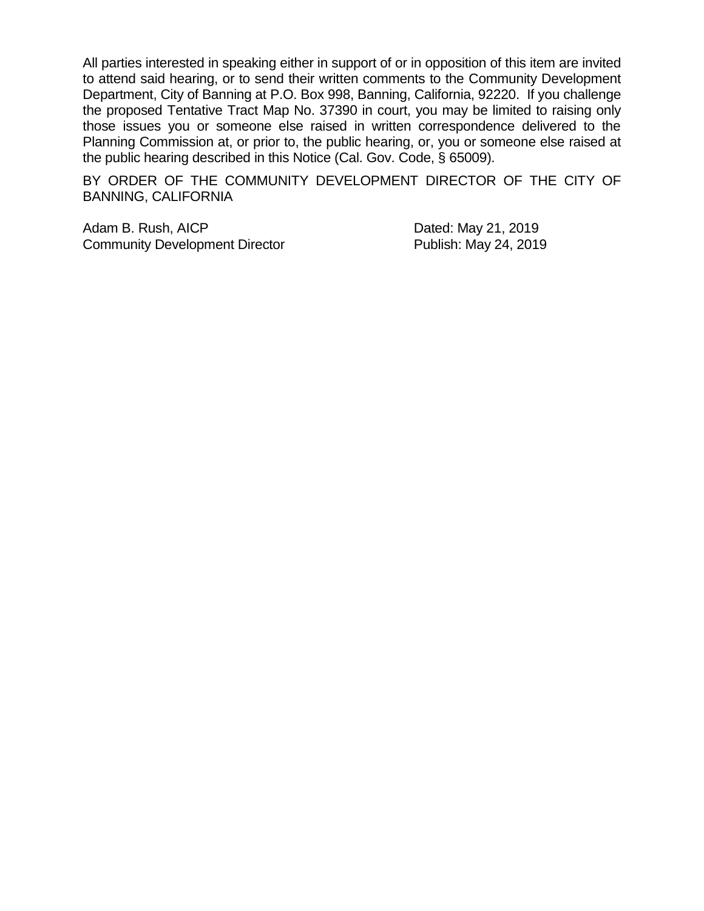All parties interested in speaking either in support of or in opposition of this item are invited to attend said hearing, or to send their written comments to the Community Development Department, City of Banning at P.O. Box 998, Banning, California, 92220. If you challenge the proposed Tentative Tract Map No. 37390 in court, you may be limited to raising only those issues you or someone else raised in written correspondence delivered to the Planning Commission at, or prior to, the public hearing, or, you or someone else raised at the public hearing described in this Notice (Cal. Gov. Code, § 65009).

BY ORDER OF THE COMMUNITY DEVELOPMENT DIRECTOR OF THE CITY OF BANNING, CALIFORNIA

Adam B. Rush, AICP Dated: May 21, 2019 Community Development Director **Publish: May 24, 2019**